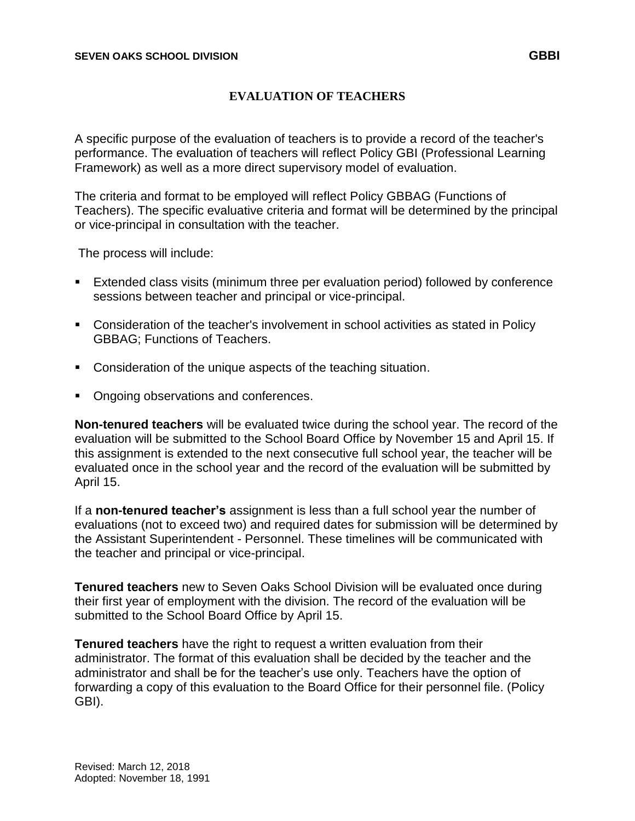## **EVALUATION OF TEACHERS**

A specific purpose of the evaluation of teachers is to provide a record of the teacher's performance. The evaluation of teachers will reflect Policy GBI (Professional Learning Framework) as well as a more direct supervisory model of evaluation.

The criteria and format to be employed will reflect Policy GBBAG (Functions of Teachers). The specific evaluative criteria and format will be determined by the principal or vice-principal in consultation with the teacher.

The process will include:

- Extended class visits (minimum three per evaluation period) followed by conference sessions between teacher and principal or vice-principal.
- Consideration of the teacher's involvement in school activities as stated in Policy GBBAG; Functions of Teachers.
- **Consideration of the unique aspects of the teaching situation.**
- Ongoing observations and conferences.

**Non-tenured teachers** will be evaluated twice during the school year. The record of the evaluation will be submitted to the School Board Office by November 15 and April 15. If this assignment is extended to the next consecutive full school year, the teacher will be evaluated once in the school year and the record of the evaluation will be submitted by April 15.

If a **non-tenured teacher's** assignment is less than a full school year the number of evaluations (not to exceed two) and required dates for submission will be determined by the Assistant Superintendent - Personnel. These timelines will be communicated with the teacher and principal or vice-principal.

**Tenured teachers** new to Seven Oaks School Division will be evaluated once during their first year of employment with the division. The record of the evaluation will be submitted to the School Board Office by April 15.

**Tenured teachers** have the right to request a written evaluation from their administrator. The format of this evaluation shall be decided by the teacher and the administrator and shall be for the teacher's use only. Teachers have the option of forwarding a copy of this evaluation to the Board Office for their personnel file. (Policy GBI).